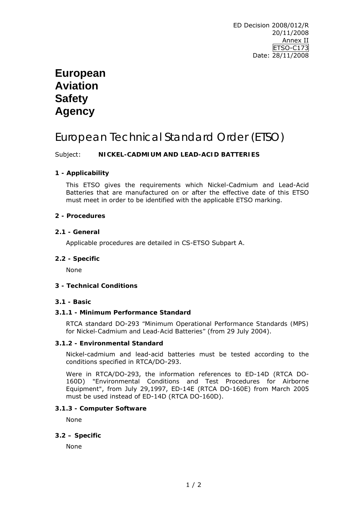# **European Aviation Safety Agency**

# European Technical Standard Order (ETSO)

## Subject: **NICKEL-CADMIUM AND LEAD-ACID BATTERIES**

## **1 - Applicability**

This ETSO gives the requirements which Nickel-Cadmium and Lead-Acid Batteries that are manufactured on or after the effective date of this ETSO must meet in order to be identified with the applicable ETSO marking.

#### **2 - Procedures**

#### **2.1 - General**

Applicable procedures are detailed in CS-ETSO Subpart A.

#### **2.2 - Specific**

None

## **3 - Technical Conditions**

#### **3.1 - Basic**

## **3.1.1 - Minimum Performance Standard**

RTCA standard DO-293 *"Minimum Operational Performance Standards (MPS) for Nickel-Cadmium and Lead-Acid Batteries"* (from 29 July 2004).

#### **3.1.2 - Environmental Standard**

Nickel-cadmium and lead-acid batteries must be tested according to the conditions specified in RTCA/DO-293.

Were in RTCA/DO-293, the information references to ED-14D (RTCA DO-160D) *"Environmental Conditions and Test Procedures for Airborne Equipment"*, from July 29,1997, ED-14E (RTCA DO-160E) from March 2005 must be used instead of ED-14D (RTCA DO-160D).

#### **3.1.3 - Computer Software**

None

#### **3.2 – Specific**

None